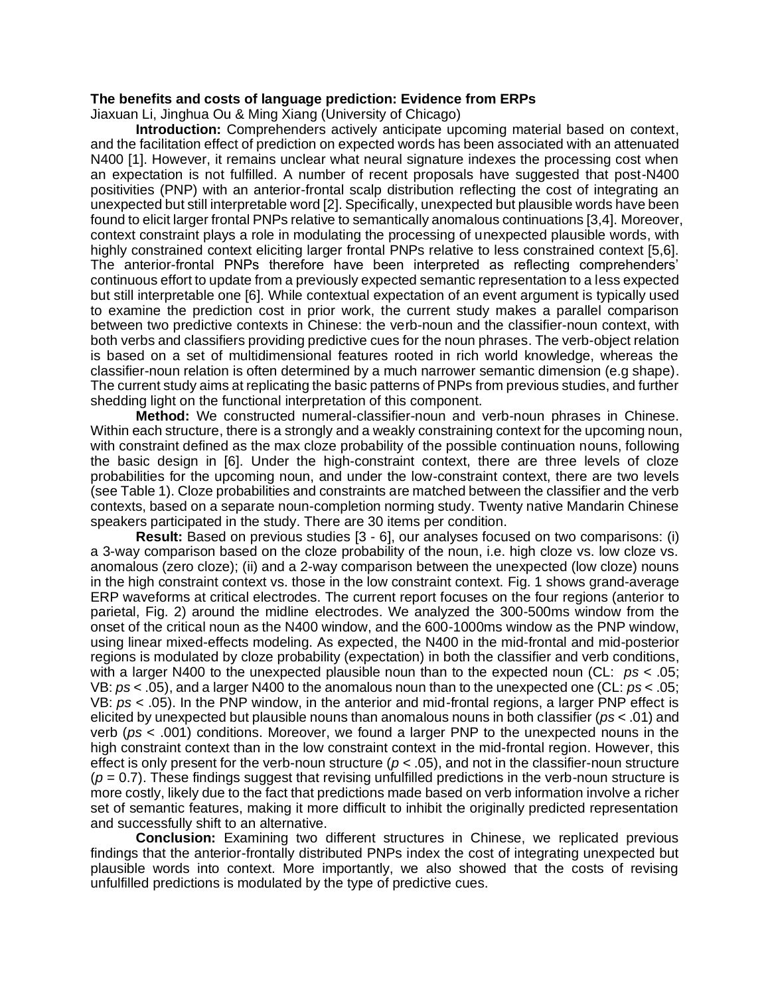## **The benefits and costs of language prediction: Evidence from ERPs**

Jiaxuan Li, Jinghua Ou & Ming Xiang (University of Chicago)

**Introduction:** Comprehenders actively anticipate upcoming material based on context, and the facilitation effect of prediction on expected words has been associated with an attenuated N400 [1]. However, it remains unclear what neural signature indexes the processing cost when an expectation is not fulfilled. A number of recent proposals have suggested that post-N400 positivities (PNP) with an anterior-frontal scalp distribution reflecting the cost of integrating an unexpected but still interpretable word [2]. Specifically, unexpected but plausible words have been found to elicit larger frontal PNPs relative to semantically anomalous continuations [3,4]. Moreover, context constraint plays a role in modulating the processing of unexpected plausible words, with highly constrained context eliciting larger frontal PNPs relative to less constrained context [5,6]. The anterior-frontal PNPs therefore have been interpreted as reflecting comprehenders' continuous effort to update from a previously expected semantic representation to a less expected but still interpretable one [6]. While contextual expectation of an event argument is typically used to examine the prediction cost in prior work, the current study makes a parallel comparison between two predictive contexts in Chinese: the verb-noun and the classifier-noun context, with both verbs and classifiers providing predictive cues for the noun phrases. The verb-object relation is based on a set of multidimensional features rooted in rich world knowledge, whereas the classifier-noun relation is often determined by a much narrower semantic dimension (e.g shape). The current study aims at replicating the basic patterns of PNPs from previous studies, and further shedding light on the functional interpretation of this component.

**Method:** We constructed numeral-classifier-noun and verb-noun phrases in Chinese. Within each structure, there is a strongly and a weakly constraining context for the upcoming noun, with constraint defined as the max cloze probability of the possible continuation nouns, following the basic design in [6]. Under the high-constraint context, there are three levels of cloze probabilities for the upcoming noun, and under the low-constraint context, there are two levels (see Table 1). Cloze probabilities and constraints are matched between the classifier and the verb contexts, based on a separate noun-completion norming study. Twenty native Mandarin Chinese speakers participated in the study. There are 30 items per condition.

**Result:** Based on previous studies [3 - 6], our analyses focused on two comparisons: (i) a 3-way comparison based on the cloze probability of the noun, i.e. high cloze vs. low cloze vs. anomalous (zero cloze); (ii) and a 2-way comparison between the unexpected (low cloze) nouns in the high constraint context vs. those in the low constraint context. Fig. 1 shows grand-average ERP waveforms at critical electrodes. The current report focuses on the four regions (anterior to parietal, Fig. 2) around the midline electrodes. We analyzed the 300-500ms window from the onset of the critical noun as the N400 window, and the 600-1000ms window as the PNP window, using linear mixed-effects modeling. As expected, the N400 in the mid-frontal and mid-posterior regions is modulated by cloze probability (expectation) in both the classifier and verb conditions, with a larger N400 to the unexpected plausible noun than to the expected noun (CL: *ps* < .05; VB: *ps* < .05), and a larger N400 to the anomalous noun than to the unexpected one (CL: *ps* < .05; VB: *ps* < .05). In the PNP window, in the anterior and mid-frontal regions, a larger PNP effect is elicited by unexpected but plausible nouns than anomalous nouns in both classifier (*ps* < .01) and verb (*ps* < .001) conditions. Moreover, we found a larger PNP to the unexpected nouns in the high constraint context than in the low constraint context in the mid-frontal region. However, this effect is only present for the verb-noun structure ( $p < .05$ ), and not in the classifier-noun structure (*p* = 0.7). These findings suggest that revising unfulfilled predictions in the verb-noun structure is more costly, likely due to the fact that predictions made based on verb information involve a richer set of semantic features, making it more difficult to inhibit the originally predicted representation and successfully shift to an alternative.

**Conclusion:** Examining two different structures in Chinese, we replicated previous findings that the anterior-frontally distributed PNPs index the cost of integrating unexpected but plausible words into context. More importantly, we also showed that the costs of revising unfulfilled predictions is modulated by the type of predictive cues.